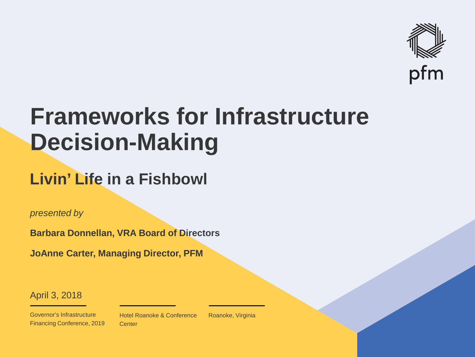

## **Frameworks for Infrastructure Decision-Making**

### **Livin' Life in a Fishbowl**

*presented by*

**Barbara Donnellan, VRA Board of Directors**

**JoAnne Carter, Managing Director, PFM**

April 3, 2018

Governor's Infrastructure Financing Conference, 2019 Hotel Roanoke & Conference **Center** 

Roanoke, Virginia

 $\mathcal{P}_\text{max}$  and  $\mathcal{P}_\text{max}$  is the probability of  $\mathcal{P}_\text{max}$  and  $\mathcal{P}_\text{max}$  and  $\mathcal{P}_\text{max}$  and  $\mathcal{P}_\text{max}$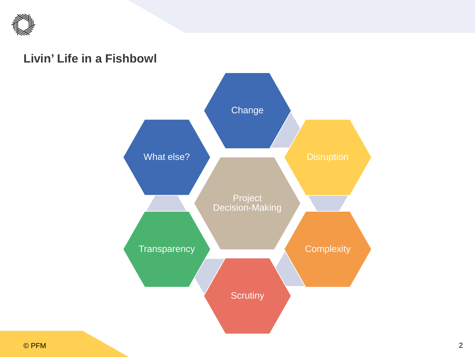

#### **Livin' Life in a Fishbowl**

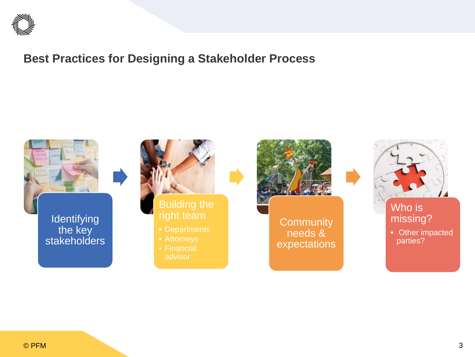

#### **Best Practices for Designing a Stakeholder Process**

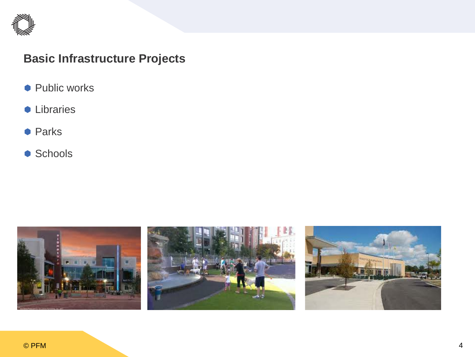

#### **Basic Infrastructure Projects**

- Public works
- **C** Libraries
- **Parks**
- Schools

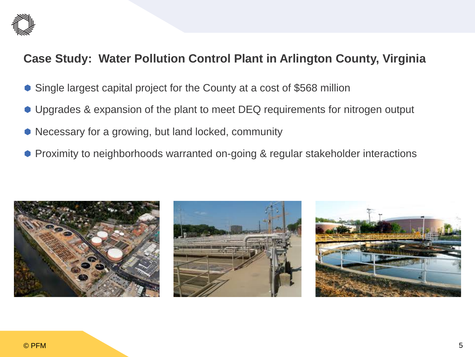

#### **Case Study: Water Pollution Control Plant in Arlington County, Virginia**

- Single largest capital project for the County at a cost of \$568 million
- Upgrades & expansion of the plant to meet DEQ requirements for nitrogen output
- Necessary for a growing, but land locked, community
- **Proximity to neighborhoods warranted on-going & regular stakeholder interactions**





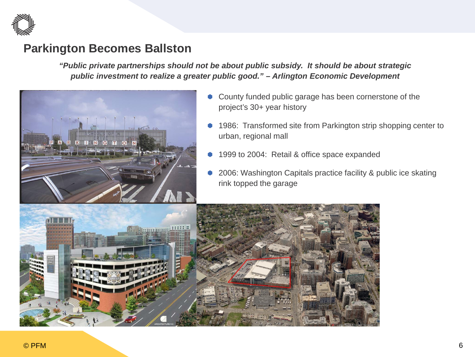

#### **Parkington Becomes Ballston**

*"Public private partnerships should not be about public subsidy. It should be about strategic public investment to realize a greater public good." – Arlington Economic Development*



- County funded public garage has been cornerstone of the project's 30+ year history
- 1986: Transformed site from Parkington strip shopping center to urban, regional mall
- 1999 to 2004: Retail & office space expanded
- 2006: Washington Capitals practice facility & public ice skating rink topped the garage

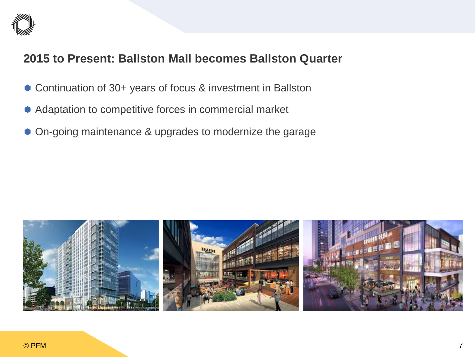

#### **2015 to Present: Ballston Mall becomes Ballston Quarter**

- Continuation of 30+ years of focus & investment in Ballston
- Adaptation to competitive forces in commercial market
- On-going maintenance & upgrades to modernize the garage

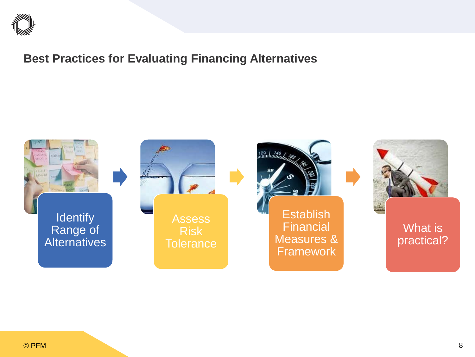

#### **Best Practices for Evaluating Financing Alternatives**

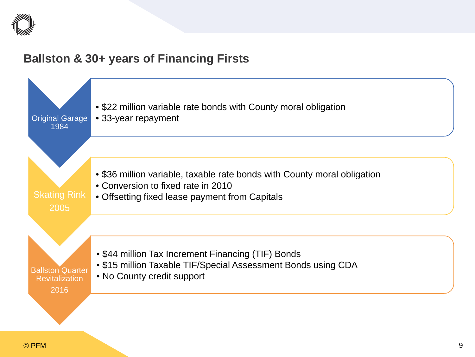

#### **Ballston & 30+ years of Financing Firsts**

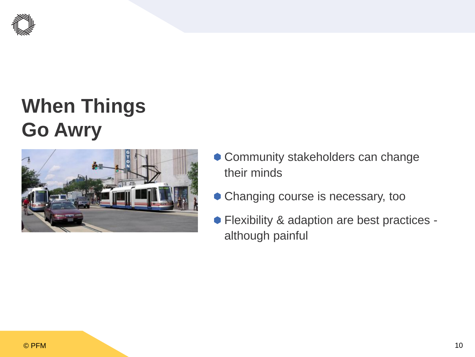

### **When Things Go Awry**



- Community stakeholders can change their minds
- Changing course is necessary, too
- Flexibility & adaption are best practices although painful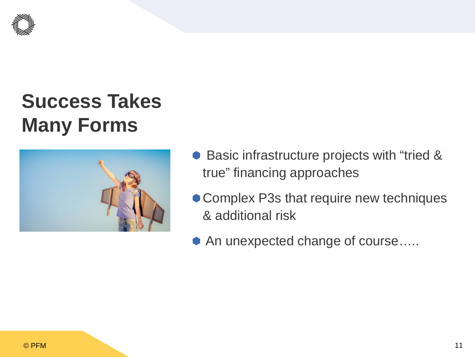

### **Success Takes Many Forms**



- Basic infrastructure projects with "tried & true" financing approaches
- Complex P3s that require new techniques & additional risk
- An unexpected change of course…..